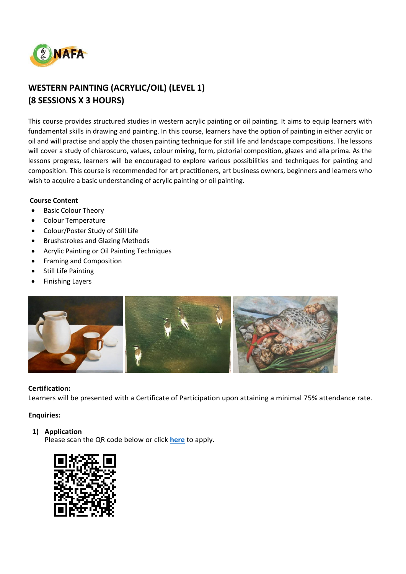

# **WESTERN PAINTING (ACRYLIC/OIL) (LEVEL 1) (8 SESSIONS X 3 HOURS)**

This course provides structured studies in western acrylic painting or oil painting. It aims to equip learners with fundamental skills in drawing and painting. In this course, learners have the option of painting in either acrylic or oil and will practise and apply the chosen painting technique for still life and landscape compositions. The lessons will cover a study of chiaroscuro, values, colour mixing, form, pictorial composition, glazes and alla prima. As the lessons progress, learners will be encouraged to explore various possibilities and techniques for painting and composition. This course is recommended for art practitioners, art business owners, beginners and learners who wish to acquire a basic understanding of acrylic painting or oil painting.

### **Course Content**

- Basic Colour Theory
- Colour Temperature
- Colour/Poster Study of Still Life
- Brushstrokes and Glazing Methods
- Acrylic Painting or Oil Painting Techniques
- Framing and Composition
- Still Life Painting
- Finishing Layers



### **Certification:**

Learners will be presented with a Certificate of Participation upon attaining a minimal 75% attendance rate.

### **Enquiries:**

### **1) Application**

Please scan the QR code below or click **[here](https://www.nafa.edu.sg/courses/part-time/short-courses#collapseFive)** to apply.